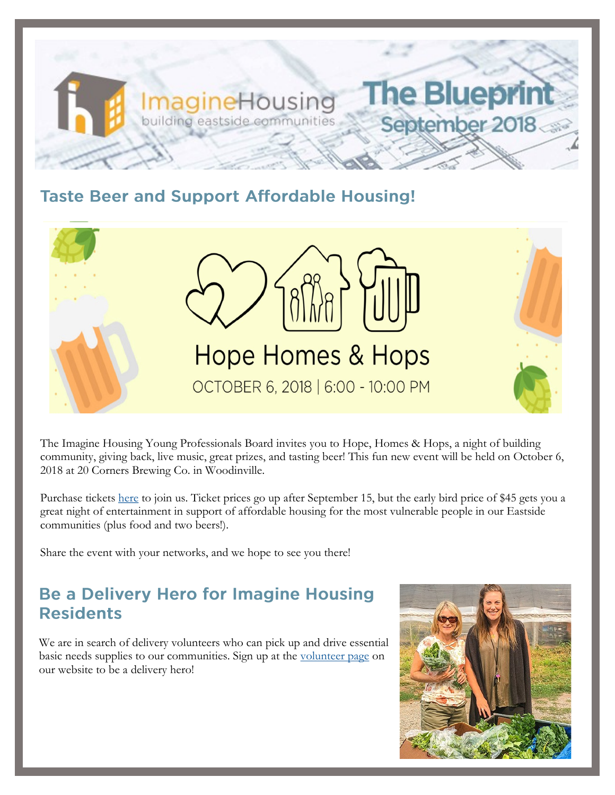

### **Taste Beer and Support Affordable Housing!**



The Imagine Housing Young Professionals Board invites you to Hope, Homes & Hops, a night of building community, giving back, live music, great prizes, and tasting beer! This fun new event will be held on October 6, 2018 at 20 Corners Brewing Co. in Woodinville.

Purchase tickets [here](https://one.bidpal.net/ypbimagine/ticketing(details:ticketing-summary)) to join us. Ticket prices go up after September 15, but the early bird price of \$45 gets you a great night of entertainment in support of affordable housing for the most vulnerable people in our Eastside communities (plus food and two beers!).

Share the event with your networks, and we hope to see you there!

## **Be a Delivery Hero for Imagine Housing Residents**

We are in search of delivery volunteers who can pick up and drive essential basic needs supplies to our communities. Sign up at the [volunteer page](http://www.imaginehousing.org/get-involved/volunteer) on our website to be a delivery hero!